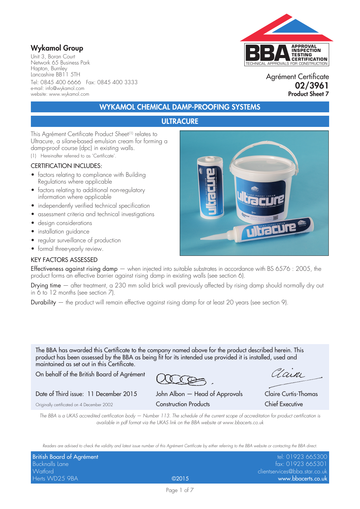## Wykamol Group

Unit 3, Boran Court Network 65 Business Park Hapton, Burnley Lancashire BB11 5TH Tel: 0845 400 6666 Fax: 0845 400 3333 e-mail: info@wykamol.com website: www.wykamol.com



Agrément Certificate 02/3961 Product Sheet 7

#### WYKAMOL CHEMICAL DAMP-PROOFING SYSTEMS

#### **ULTRACURE**

This Agrément Certificate Product Sheet(1) relates to Ultracure, a silane-based emulsion cream for forming a damp-proof course (dpc) in existing walls.

(1) Hereinafter referred to as 'Certificate'.

#### CERTIFICATION INCLUDES:

- factors relating to compliance with Building Regulations where applicable
- factors relating to additional non-regulatory information where applicable
- independently verified technical specification
- assessment criteria and technical investigations
- design considerations
- installation guidance
- regular surveillance of production
- formal three-yearly review.

#### KEY FACTORS ASSESSED

Effectiveness against rising damp  $-$  when injected into suitable substrates in accordance with BS 6576 : 2005, the product forms an effective barrier against rising damp in existing walls (see section 6).

Drying time – after treatment, a 230 mm solid brick wall previously affected by rising damp should normally dry out in 6 to 12 months (see section 7).

Durability — the product will remain effective against rising damp for at least 20 years (see section 9).

The BBA has awarded this Certificate to the company named above for the product described herein. This product has been assessed by the BBA as being fit for its intended use provided it is installed, used and maintained as set out in this Certificate.

On behalf of the British Board of Agrément

Clain

Date of Third issue: 11 December 2015 John Albon — Head of Approvals Claire Curtis-Thomas Originally certificated on 4 December 2002 Construction Products Chief Executive

*The BBA is a UKAS accredited certification body — Number 113. The schedule of the current scope of accreditation for product certification is available in pdf format via the UKAS link on the BBA website at www.bbacerts.co.uk*

*Readers are advised to check the validity and latest issue number of this Agrément Certificate by either referring to the BBA website or contacting the BBA direct.*

| British Board of Agrément |       | tel: 01923 665300             |
|---------------------------|-------|-------------------------------|
| Bucknalls Lane            |       | fax: 01923 665301             |
| Watford                   |       | clientservices@bba.star.co.uk |
| Herts WD25 9BA            | @2015 | www.bbacerts.co.uk            |

Page 1 of 7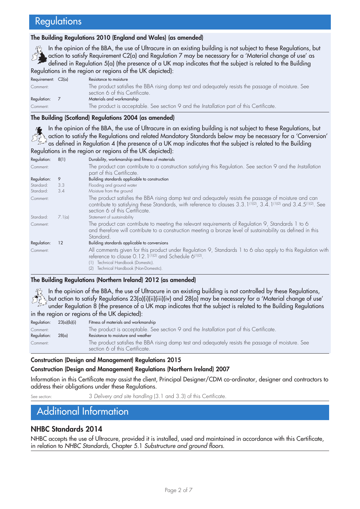## **Regulations**

#### The Building Regulations 2010 (England and Wales) (as amended)

In the opinion of the BBA, the use of Ultracure in an existing building is not subject to these Regulations, but action to satisfy Requirement C2(a) and Regulation 7 may be necessary for a 'Material change of use' as defined in Regulation 5(a) (the presence of a UK map indicates that the subject is related to the Building Regulations in the region or regions of the UK depicted):

| Requirement: C2(a) | Resistance to moisture                                                                                                               |
|--------------------|--------------------------------------------------------------------------------------------------------------------------------------|
| Comment:           | The product satisfies the BBA rising damp test and adequately resists the passage of moisture. See<br>section 6 of this Certificate. |
| Regulation:        | Materials and workmanship                                                                                                            |
| Comment:           | The product is acceptable. See section 9 and the Installation part of this Certificate.                                              |

#### The Building (Scotland) Regulations 2004 (as amended)

In the opinion of the BBA, the use of Ultracure in an existing building is not subject to these Regulations, but action to satisfy the Regulations and related Mandatory Standards below may be necessary for a 'Conversion' action to satisty the Regulations and related triangulation  $\frac{1}{2}$  change in the subject is related to the Building as defined in Regulation 4 (the presence of a UK map indicates that the subject is related to the Buil Regulations in the region or regions of the UK depicted):

| Regulation: | 8(1)   | Durability, workmanship and fitness of materials                                                                                                                                                                                                             |
|-------------|--------|--------------------------------------------------------------------------------------------------------------------------------------------------------------------------------------------------------------------------------------------------------------|
| Comment:    |        | The product can contribute to a construction satisfying this Regulation. See section 9 and the Installation<br>part of this Certificate.                                                                                                                     |
| Regulation: | 9      | Building standards applicable to construction                                                                                                                                                                                                                |
| Standard:   | 3.3    | Flooding and ground water                                                                                                                                                                                                                                    |
| Standard:   | 3.4    | Moisture from the ground                                                                                                                                                                                                                                     |
| Comment:    |        | The product satisfies the BBA rising damp test and adequately resists the passage of moisture and can<br>contribute to satisfying these Standards, with reference to clauses 3.3.1(1)(2), 3.4.1(1)(2) and 3.4.5(1)(2). See<br>section 6 of this Certificate. |
| Standard:   | 7.1(a) | Statement of sustainability                                                                                                                                                                                                                                  |
| Comment:    |        | The product can contribute to meeting the relevant requirements of Regulation 9, Standards 1 to 6<br>and therefore will contribute to a construction meeting a bronze level of sustainability as defined in this<br>Standard.                                |
| Regulation: | 12     | Building standards applicable to conversions                                                                                                                                                                                                                 |
| Comment:    |        | All comments given for this product under Regulation 9, Standards 1 to 6 also apply to this Regulation with<br>reference to clause 0.12.1(1)(2) and Schedule 6(1)(2).<br>Technical Handbook (Domestic).<br>(1)<br>Technical Handbook (Non-Domestic).         |

#### The Building Regulations (Northern Ireland) 2012 (as amended)

<sup>27</sup>/<sub>2</sub> In the opinion of the BBA, the use of Ultracure in an existing building is not controlled by these Regulations, but action to satisfy Regulations 23(a)(i)(ii)(iii)(iv) and 28(a) may be necessary for a 'Material change of use' under Regulation 8 (the presence of a UK map indicates that the subject is related to the Building Regulations

in the region or regions of the UK depicted):

| Regulation:             | 23(a)(b)(i) | Fitness of materials and workmanship                                                                                                 |
|-------------------------|-------------|--------------------------------------------------------------------------------------------------------------------------------------|
| Comment:<br>Regulation: | 28(a)       | The product is acceptable. See section 9 and the Installation part of this Certificate.<br>Resistance to moisture and weather        |
| Comment:                |             | The product satisfies the BBA rising damp test and adequately resists the passage of moisture. See<br>section 6 of this Certificate. |

#### Construction (Design and Management) Regulations 2015 Construction (Design and Management) Regulations (Northern Ireland) 2007

Information in this Certificate may assist the client, Principal Designer/CDM co-ordinator, designer and contractors to address their obligations under these Regulations.

See section: 3 *Delivery and site handling* (3.1 and 3.3) of this Certificate.

# Additional Information

### NHBC Standards 2014

NHBC accepts the use of Ultracure, provided it is installed, used and maintained in accordance with this Certificate, in relation to *NHBC Standards*, Chapter 5.1 *Substructure and ground floors*.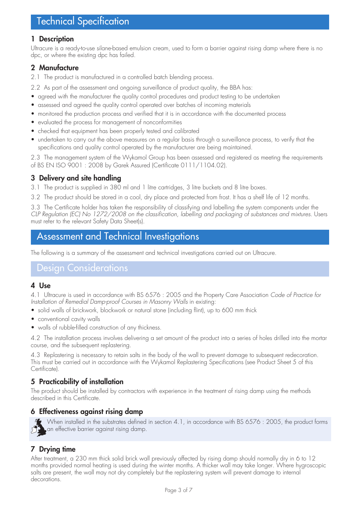#### 1 Description

Ultracure is a ready-to-use silane-based emulsion cream, used to form a barrier against rising damp where there is no dpc, or where the existing dpc has failed.

## 2 Manufacture

2.1 The product is manufactured in a controlled batch blending process.

2.2 As part of the assessment and ongoing surveillance of product quality, the BBA has:

- agreed with the manufacturer the quality control procedures and product testing to be undertaken
- assessed and agreed the quality control operated over batches of incoming materials
- monitored the production process and verified that it is in accordance with the documented process
- evaluated the process for management of nonconformities
- checked that equipment has been properly tested and calibrated
- undertaken to carry out the above measures on a regular basis through a surveillance process, to verify that the specifications and quality control operated by the manufacturer are being maintained.

2.3 The management system of the Wykamol Group has been assessed and registered as meeting the requirements of BS EN ISO 9001 : 2008 by Garek Assured (Certificate 0111/1104.02).

## 3 Delivery and site handling

- 3.1 The product is supplied in 380 ml and 1 litre cartridges, 3 litre buckets and 8 litre boxes.
- 3.2 The product should be stored in a cool, dry place and protected from frost. It has a shelf life of 12 months.

3.3 The Certificate holder has taken the responsibility of classifying and labelling the system components under the *CLP Regulation (EC) No 1272/2008 on the classification, labelling and packaging of substances and mixtures*. Users must refer to the relevant Safety Data Sheet(s).

# Assessment and Technical Investigations

The following is a summary of the assessment and technical investigations carried out on Ultracure.

## Design Considerations

### 4 Use

4.1 Ultracure is used in accordance with BS 6576 : 2005 and the Property Care Association *Code of Practice for*  Installation of Remedial Damp-proof Courses in Masonry Walls in existing:

- solid walls of brickwork, blockwork or natural stone (including flint), up to 600 mm thick
- conventional cavity walls
- walls of rubble-filled construction of any thickness.

4.2 The installation process involves delivering a set amount of the product into a series of holes drilled into the mortar course, and the subsequent replastering.

4.3 Replastering is necessary to retain salts in the body of the wall to prevent damage to subsequent redecoration. This must be carried out in accordance with the Wykamol Replastering Specifications (see Product Sheet 5 of this Certificate).

### 5 Practicability of installation

The product should be installed by contractors with experience in the treatment of rising damp using the methods described in this Certificate.

### 6 Effectiveness against rising damp

When installed in the substrates defined in section 4.1, in accordance with BS 6576 : 2005, the product forms an effective barrier against rising damp.

### 7 Drying time

After treatment, a 230 mm thick solid brick wall previously affected by rising damp should normally dry in 6 to 12 months provided normal heating is used during the winter months. A thicker wall may take longer. Where hygroscopic salts are present, the wall may not dry completely but the replastering system will prevent damage to internal decorations.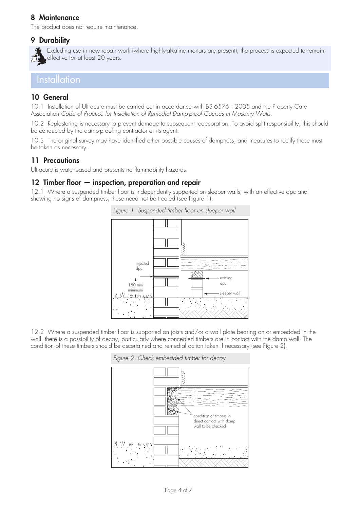## 8 Maintenance

The product does not require maintenance.

#### 9 Durability



Excluding use in new repair work (where highly-alkaline mortars are present), the process is expected to remain effective for at least 20 years.

## **Installation**

#### 10 General

10.1 Installation of Ultracure must be carried out in accordance with BS 6576 : 2005 and the Property Care Association *Code of Practice for Installation of Remedial Damp-proof Courses in Masonry Walls*.

10.2 Replastering is necessary to prevent damage to subsequent redecoration. To avoid split responsibility, this should be conducted by the damp-proofing contractor or its agent.

10.3 The original survey may have identified other possible causes of dampness, and measures to rectify these must be taken as necessary.

### 11 Precautions

Ultracure is water-based and presents no flammability hazards.

#### 12 Timber floor — inspection, preparation and repair

12.1 Where a suspended timber floor is independently supported on sleeper walls, with an effective dpc and showing no signs of dampness, these need not be treated (see Figure 1).



12.2 Where a suspended timber floor is supported on joists and/or a wall plate bearing on or embedded in the wall, there is a possibility of decay, particularly where concealed timbers are in contact with the damp wall. The condition of these timbers should be ascertained and remedial action taken if necessary (see Figure 2).

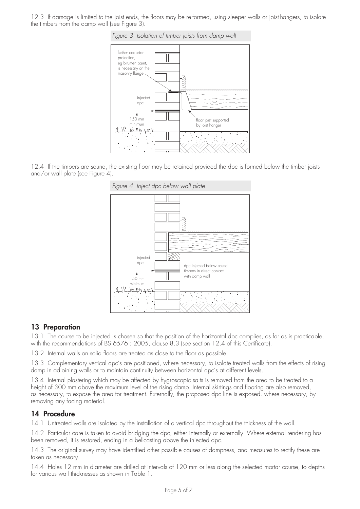12.3 If damage is limited to the joist ends, the floors may be re-formed, using sleeper walls or joist-hangers, to isolate the timbers from the damp wall (see Figure 3).





12.4 If the timbers are sound, the existing floor may be retained provided the dpc is formed below the timber joists and/or wall plate (see Figure 4).





#### 13 Preparation

13.1 The course to be injected is chosen so that the position of the horizontal dpc complies, as far as is practicable, with the recommendations of BS 6576 : 2005, clause 8.3 (see section 12.4 of this Certificate).

13.2 Internal walls on solid floors are treated as close to the floor as possible.

13.3 Complementary vertical dpc's are positioned, where necessary, to isolate treated walls from the effects of rising damp in adjoining walls or to maintain continuity between horizontal dpc's at different levels.

13.4 Internal plastering which may be affected by hygroscopic salts is removed from the area to be treated to a height of 300 mm above the maximum level of the rising damp. Internal skirtings and flooring are also removed, as necessary, to expose the area for treatment. Externally, the proposed dpc line is exposed, where necessary, by removing any facing material.

#### 14 Procedure

14.1 Untreated walls are isolated by the installation of a vertical dpc throughout the thickness of the wall.

14.2 Particular care is taken to avoid bridging the dpc, either internally or externally. Where external rendering has been removed, it is restored, ending in a bellcasting above the injected dpc.

14.3 The original survey may have identified other possible causes of dampness, and measures to rectify these are taken as necessary.

14.4 Holes 12 mm in diameter are drilled at intervals of 120 mm or less along the selected mortar course, to depths for various wall thicknesses as shown in Table 1.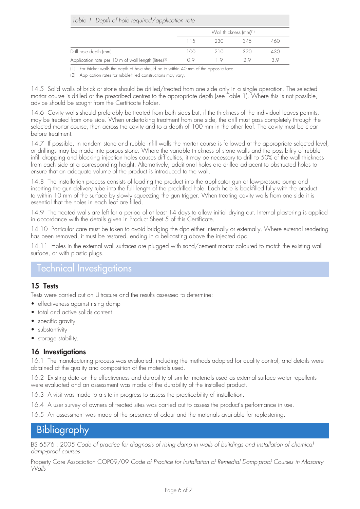| Depth of hole required/application rate<br>Table 1               |                                    |     |     |     |  |  |  |
|------------------------------------------------------------------|------------------------------------|-----|-----|-----|--|--|--|
|                                                                  | Wall thickness (mm) <sup>(1)</sup> |     |     |     |  |  |  |
|                                                                  | 115                                | 230 | 345 | 460 |  |  |  |
| Drill hole depth (mm)                                            | 100                                | 210 | 320 | 430 |  |  |  |
| Application rate per 10 m of wall length (litres) <sup>(2)</sup> | $\bigcap Q$                        | 10  | 7 Q | २ ० |  |  |  |

(1) For thicker walls the depth of hole should be to within 40 mm of the opposite face.

(2) Application rates for rubble-filled constructions may vary.

14.5 Solid walls of brick or stone should be drilled/treated from one side only in a single operation. The selected mortar course is drilled at the prescribed centres to the appropriate depth (see Table 1). Where this is not possible, advice should be sought from the Certificate holder.

14.6 Cavity walls should preferably be treated from both sides but, if the thickness of the individual leaves permits, may be treated from one side. When undertaking treatment from one side, the drill must pass completely through the selected mortar course, then across the cavity and to a depth of 100 mm in the other leaf. The cavity must be clear before treatment.

14.7 If possible, in random stone and rubble infill walls the mortar course is followed at the appropriate selected level, or drillings may be made into porous stone. Where the variable thickness of stone walls and the possibility of rubble infill dropping and blocking injection holes causes difficulties, it may be necessary to drill to 50% of the wall thickness from each side at a corresponding height. Alternatively, additional holes are drilled adjacent to obstructed holes to ensure that an adequate volume of the product is introduced to the wall.

14.8 The installation process consists of loading the product into the applicator gun or low-pressure pump and inserting the gun delivery tube into the full length of the predrilled hole. Each hole is backfilled fully with the product to within 10 mm of the surface by slowly squeezing the gun trigger. When treating cavity walls from one side it is essential that the holes in each leaf are filled.

14.9 The treated walls are left for a period of at least 14 days to allow initial drying out. Internal plastering is applied in accordance with the details given in Product Sheet 5 of this Certificate.

14.10 Particular care must be taken to avoid bridging the dpc either internally or externally. Where external rendering has been removed, it must be restored, ending in a bellcasting above the injected dpc.

14.11 Holes in the external wall surfaces are plugged with sand/cement mortar coloured to match the existing wall surface, or with plastic plugs.

## Technical Investigations

#### 15 Tests

Tests were carried out on Ultracure and the results assessed to determine:

- effectiveness against rising damp
- total and active solids content
- specific gravity
- substantivity
- storage stability.

#### 16 Investigations

16.1 The manufacturing process was evaluated, including the methods adopted for quality control, and details were obtained of the quality and composition of the materials used.

16.2 Existing data on the effectiveness and durability of similar materials used as external surface water repellents were evaluated and an assessment was made of the durability of the installed product.

16.3 A visit was made to a site in progress to assess the practicability of installation.

16.4 A user survey of owners of treated sites was carried out to assess the product's performance in use.

16.5 An assessment was made of the presence of odour and the materials available for replastering.

# **Bibliography**

BS 6576 : 2005 *Code of practice for diagnosis of rising damp in walls of buildings and installation of chemical damp-proof courses*

Property Care Association COP09/09 *Code of Practice for Installation of Remedial Damp-proof Courses in Masonry Walls*